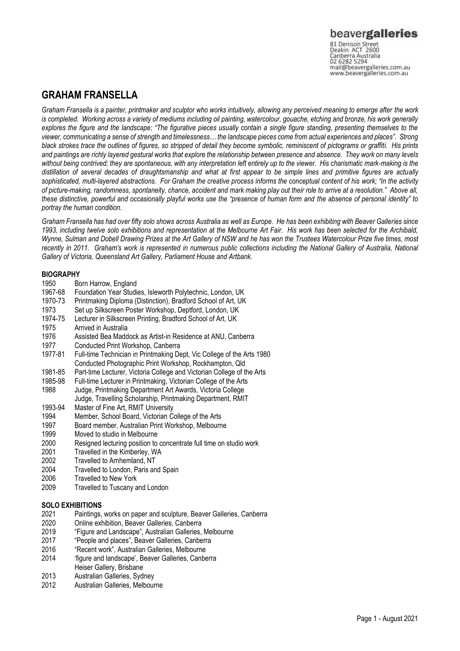# beavergalleries

81 Denison Street<br>Deakin ACT 2600 Canberra Australia mail@beavergalleries.com.au www.beavergalleries.com.au

## **GRAHAM FRANSELLA**

*Graham Fransella is a painter, printmaker and sculptor who works intuitively, allowing any perceived meaning to emerge after the work is completed. Working across a variety of mediums including oil painting, watercolour, gouache, etching and bronze, his work generally explores the figure and the landscape; "The figurative pieces usually contain a single figure standing, presenting themselves to the viewer, communicating a sense of strength and timelessness… the landscape pieces come from actual experiences and places". Strong black strokes trace the outlines of figures, so stripped of detail they become symbolic, reminiscent of pictograms or graffiti. His prints and paintings are richly layered gestural works that explore the relationship between presence and absence. They work on many levels without being contrived; they are spontaneous, with any interpretation left entirely up to the viewer. His charismatic mark-making is the distillation of several decades of draughtsmanship and what at first appear to be simple lines and primitive figures are actually sophisticated, multi-layered abstractions. For Graham the creative process informs the conceptual content of his work; "In the activity of picture-making, randomness, spontaneity, chance, accident and mark making play out their role to arrive at a resolution." Above all, these distinctive, powerful and occasionally playful works use the "presence of human form and the absence of personal identity" to portray the human condition.* 

*Graham Fransella has had over fifty solo shows across Australia as well as Europe. He has been exhibiting with Beaver Galleries since 1993, including twelve solo exhibitions and representation at the Melbourne Art Fair. His work has been selected for the Archibald, Wynne, Sulman and Dobell Drawing Prizes at the Art Gallery of NSW and he has won the Trustees Watercolour Prize five times, most recently in 2011. Graham's work is represented in numerous public collections including the National Gallery of Australia, National Gallery of Victoria, Queensland Art Gallery, Parliament House and Artbank.*

# **BIOGRAPHY**<br>1950 Bo

- Born Harrow, England
- 1967-68 Foundation Year Studies, Isleworth Polytechnic, London, UK
- 1970-73 Printmaking Diploma (Distinction), Bradford School of Art, UK
- 1973 Set up Silkscreen Poster Workshop, Deptford, London, UK
- 1974-75 Lecturer in Silkscreen Printing, Bradford School of Art, UK
- 1975 Arrived in Australia<br>1976 Assisted Bea Madd
- Assisted Bea Maddock as Artist-in Residence at ANU, Canberra
- 1977 Conducted Print Workshop, Canberra
- 1977-81 Full-time Technician in Printmaking Dept, Vic College of the Arts 1980 Conducted Photographic Print Workshop, Rockhampton, Qld
- 1981-85 Part-time Lecturer, Victoria College and Victorian College of the Arts
- Full-time Lecturer in Printmaking, Victorian College of the Arts
- 1988 Judge, Printmaking Department Art Awards, Victoria College Judge, Travelling Scholarship, Printmaking Department, RMIT
- 1993-94 Master of Fine Art, RMIT University
- 1994 Member, School Board, Victorian College of the Arts
- 1997 Board member, Australian Print Workshop, Melbourne
- 1999 Moved to studio in Melbourne
- 2000 Resigned lecturing position to concentrate full time on studio work
- 2001 Travelled in the Kimberley, WA<br>2002 Travelled to Arnhemland. NT
- 2002 Travelled to Arnhemland, NT<br>2004 Travelled to London, Paris and
- 2004 Travelled to London, Paris and Spain<br>2006 Travelled to New York
- 2006 Travelled to New York<br>2009 Travelled to Tuscany a
- Travelled to Tuscany and London

## **SOLO EXHIBITIONS**

- 2021 Paintings, works on paper and sculpture, Beaver Galleries, Canberra
- 2020 Online exhibition, Beaver Galleries, Canberra
- 2019 "Figure and Landscape", Australian Galleries, Melbourne
- 2017 "People and places", Beaver Galleries, Canberra
- 2016 "Recent work", Australian Galleries, Melbourne
- 2014 'figure and landscape', Beaver Galleries, Canberra Heiser Gallery, Brisbane
- 2013 Australian Galleries, Sydney
- 2012 Australian Galleries, Melbourne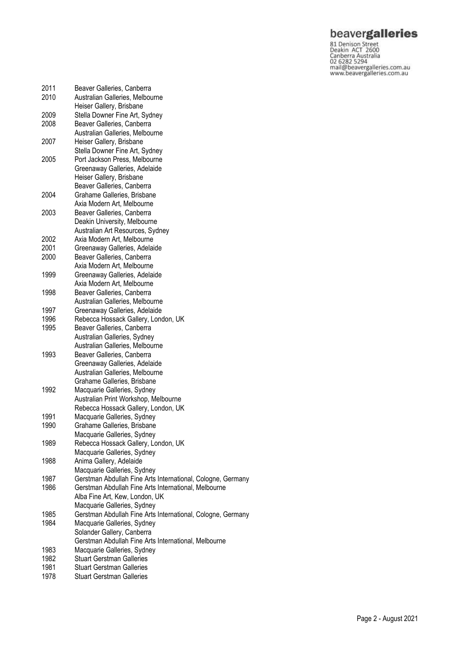**beavergalleries**<br> **S1** Denison Street<br>
Deakin ACT 2600<br>
Canberra Australia<br>
02 6282 5294<br>
mail@beavergalleries.com.au<br>
www.beavergalleries.com.au

| 2011<br>2010 | Beaver Galleries, Canberra<br>Australian Galleries, Melbourne                              |
|--------------|--------------------------------------------------------------------------------------------|
|              | Heiser Gallery, Brisbane                                                                   |
| 2009         | Stella Downer Fine Art, Sydney                                                             |
| 2008         | Beaver Galleries, Canberra                                                                 |
|              | Australian Galleries, Melbourne                                                            |
| 2007         | Heiser Gallery, Brisbane                                                                   |
|              | Stella Downer Fine Art, Sydney                                                             |
| 2005         | Port Jackson Press, Melbourne                                                              |
|              | Greenaway Galleries, Adelaide                                                              |
|              | Heiser Gallery, Brisbane                                                                   |
|              | Beaver Galleries, Canberra                                                                 |
| 2004         | Grahame Galleries, Brisbane                                                                |
|              | Axia Modern Art, Melbourne                                                                 |
| 2003         | Beaver Galleries, Canberra                                                                 |
|              | Deakin University, Melbourne                                                               |
|              | Australian Art Resources, Sydney                                                           |
| 2002<br>2001 | Axia Modern Art, Melbourne                                                                 |
| 2000         | Greenaway Galleries, Adelaide<br>Beaver Galleries, Canberra                                |
|              | Axia Modern Art, Melbourne                                                                 |
| 1999         | Greenaway Galleries, Adelaide                                                              |
|              | Axia Modern Art, Melbourne                                                                 |
| 1998         | Beaver Galleries, Canberra                                                                 |
|              | Australian Galleries, Melbourne                                                            |
| 1997         | Greenaway Galleries, Adelaide                                                              |
| 1996         | Rebecca Hossack Gallery, London, UK                                                        |
| 1995         | Beaver Galleries, Canberra                                                                 |
|              | Australian Galleries, Sydney                                                               |
|              | Australian Galleries, Melbourne                                                            |
| 1993         | Beaver Galleries, Canberra                                                                 |
|              | Greenaway Galleries, Adelaide                                                              |
|              | Australian Galleries, Melbourne                                                            |
|              | Grahame Galleries, Brisbane                                                                |
| 1992         | Macquarie Galleries, Sydney                                                                |
|              | Australian Print Workshop, Melbourne                                                       |
|              | Rebecca Hossack Gallery, London, UK                                                        |
| 1991         | Macquarie Galleries, Sydney                                                                |
| 1990         | Grahame Galleries, Brisbane                                                                |
|              | Macquarie Galleries, Sydney                                                                |
| 1989         | Rebecca Hossack Gallery, London, UK                                                        |
| 1988         | Macquarie Galleries, Sydney                                                                |
|              | Anima Gallery, Adelaide                                                                    |
| 1987         | Macquarie Galleries, Sydney<br>Gerstman Abdullah Fine Arts International, Cologne, Germany |
| 1986         | Gerstman Abdullah Fine Arts International, Melbourne                                       |
|              | Alba Fine Art, Kew, London, UK                                                             |
|              | Macquarie Galleries, Sydney                                                                |
| 1985         | Gerstman Abdullah Fine Arts International, Cologne, Germany                                |
| 1984         | Macquarie Galleries, Sydney                                                                |
|              | Solander Gallery, Canberra                                                                 |
|              | Gerstman Abdullah Fine Arts International, Melbourne                                       |
| 1983         | Macquarie Galleries, Sydney                                                                |
| 1982         | <b>Stuart Gerstman Galleries</b>                                                           |
| 1981         | <b>Stuart Gerstman Galleries</b>                                                           |
| 1978         | <b>Stuart Gerstman Galleries</b>                                                           |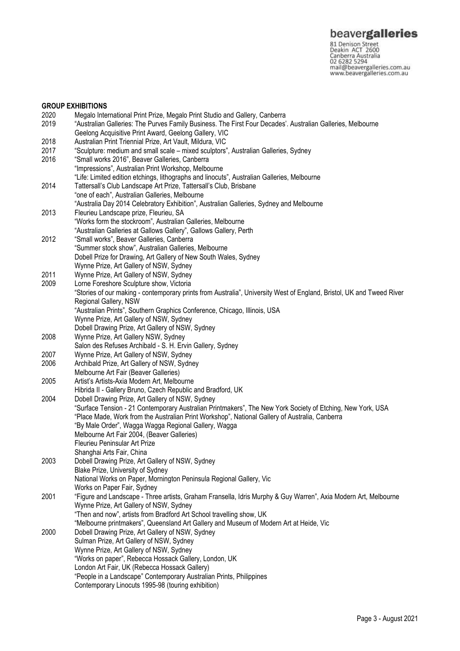www.beavergalleries.com.au

## 2020 Megalo International Print Prize, Megalo Print Studio and Gallery, Canberra 2019 "Australian Galleries: The Purves Family Business. The First Four Decades'. Australian Galleries, Melbourne Geelong Acquisitive Print Award, Geelong Gallery, VIC 2018 Australian Print Triennial Prize, Art Vault, Mildura, VIC<br>2017 Sculpture: medium and small scale – mixed sculptors" 2017 "Sculpture: medium and small scale – mixed sculptors", Australian Galleries, Sydney "Small works 2016", Beaver Galleries, Canberra "Impressions", Australian Print Workshop, Melbourne "Life: Limited edition etchings, lithographs and linocuts", Australian Galleries, Melbourne 2014 Tattersall's Club Landscape Art Prize, Tattersall's Club, Brisbane "one of each", Australian Galleries, Melbourne "Australia Day 2014 Celebratory Exhibition", Australian Galleries, Sydney and Melbourne 2013 Fleurieu Landscape prize, Fleurieu, SA "Works form the stockroom", Australian Galleries, Melbourne "Australian Galleries at Gallows Gallery", Gallows Gallery, Perth 2012 "Small works", Beaver Galleries, Canberra "Summer stock show", Australian Galleries, Melbourne Dobell Prize for Drawing, Art Gallery of New South Wales, Sydney Wynne Prize, Art Gallery of NSW, Sydney 2011 Wynne Prize, Art Gallery of NSW, Sydney 2009 Lorne Foreshore Sculpture show, Victoria "Stories of our making - contemporary prints from Australia", University West of England, Bristol, UK and Tweed River Regional Gallery, NSW "Australian Prints", Southern Graphics Conference, Chicago, Illinois, USA Wynne Prize, Art Gallery of NSW, Sydney Dobell Drawing Prize, Art Gallery of NSW, Sydney 2008 Wynne Prize, Art Gallery NSW, Sydney

- Salon des Refuses Archibald S. H. Ervin Gallery, Sydney
- 2007 Wynne Prize, Art Gallery of NSW, Sydney
- 2006 Archibald Prize, Art Gallery of NSW, Sydney
- Melbourne Art Fair (Beaver Galleries)

**GROUP EXHIBITIONS**<br>2020 Megalo Inte

- 2005 Artist's Artists-Axia Modern Art, Melbourne Hibrida II - Gallery Bruno, Czech Republic and Bradford, UK
- 2004 Dobell Drawing Prize, Art Gallery of NSW, Sydney "Surface Tension - 21 Contemporary Australian Printmakers", The New York Society of Etching, New York, USA "Place Made, Work from the Australian Print Workshop", National Gallery of Australia, Canberra "By Male Order", Wagga Wagga Regional Gallery, Wagga Melbourne Art Fair 2004, (Beaver Galleries) Fleurieu Peninsular Art Prize Shanghai Arts Fair, China 2003 Dobell Drawing Prize, Art Gallery of NSW, Sydney Blake Prize, University of Sydney
- National Works on Paper, Mornington Peninsula Regional Gallery, Vic Works on Paper Fair, Sydney 2001 "Figure and Landscape - Three artists, Graham Fransella, Idris Murphy & Guy Warren", Axia Modern Art, Melbourne Wynne Prize, Art Gallery of NSW, Sydney "Then and now", artists from Bradford Art School travelling show, UK "Melbourne printmakers", Queensland Art Gallery and Museum of Modern Art at Heide, Vic 2000 Dobell Drawing Prize, Art Gallery of NSW, Sydney Sulman Prize, Art Gallery of NSW, Sydney Wynne Prize, Art Gallery of NSW, Sydney "Works on paper", Rebecca Hossack Gallery, London, UK London Art Fair, UK (Rebecca Hossack Gallery) "People in a Landscape" Contemporary Australian Prints, Philippines
	- Contemporary Linocuts 1995-98 (touring exhibition)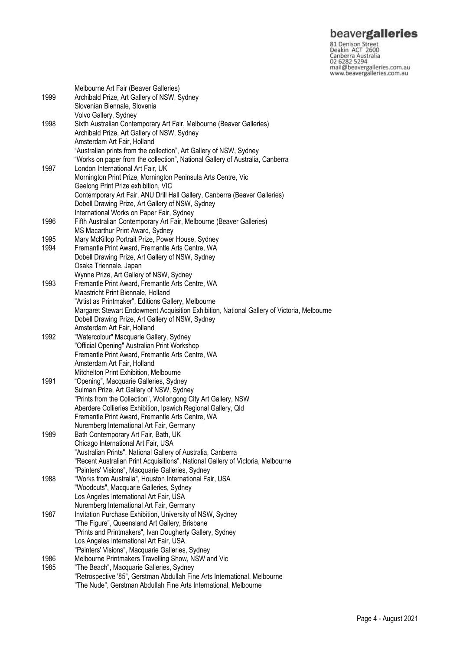**beavergalleries**<br> **S1** Denison Street<br>
Deakin ACT 2600<br>
Canberra Australia<br>
02 6282 5294<br>
mail@beavergalleries.com.au<br>
www.beavergalleries.com.au

|      | Melbourne Art Fair (Beaver Galleries)                                                      |
|------|--------------------------------------------------------------------------------------------|
| 1999 | Archibald Prize, Art Gallery of NSW, Sydney                                                |
|      | Slovenian Biennale, Slovenia                                                               |
|      | Volvo Gallery, Sydney                                                                      |
| 1998 | Sixth Australian Contemporary Art Fair, Melbourne (Beaver Galleries)                       |
|      | Archibald Prize, Art Gallery of NSW, Sydney                                                |
|      | Amsterdam Art Fair, Holland                                                                |
|      |                                                                                            |
|      | "Australian prints from the collection", Art Gallery of NSW, Sydney                        |
|      | "Works on paper from the collection", National Gallery of Australia, Canberra              |
| 1997 | London International Art Fair, UK                                                          |
|      | Mornington Print Prize, Mornington Peninsula Arts Centre, Vic                              |
|      | Geelong Print Prize exhibition, VIC                                                        |
|      | Contemporary Art Fair, ANU Drill Hall Gallery, Canberra (Beaver Galleries)                 |
|      | Dobell Drawing Prize, Art Gallery of NSW, Sydney                                           |
|      | International Works on Paper Fair, Sydney                                                  |
| 1996 | Fifth Australian Contemporary Art Fair, Melbourne (Beaver Galleries)                       |
|      | MS Macarthur Print Award, Sydney                                                           |
| 1995 | Mary McKillop Portrait Prize, Power House, Sydney                                          |
| 1994 | Fremantle Print Award, Fremantle Arts Centre, WA                                           |
|      | Dobell Drawing Prize, Art Gallery of NSW, Sydney                                           |
|      | Osaka Triennale, Japan                                                                     |
|      | Wynne Prize, Art Gallery of NSW, Sydney                                                    |
| 1993 | Fremantle Print Award, Fremantle Arts Centre, WA                                           |
|      | Maastricht Print Biennale, Holland                                                         |
|      | "Artist as Printmaker", Editions Gallery, Melbourne                                        |
|      | Margaret Stewart Endowment Acquisition Exhibition, National Gallery of Victoria, Melbourne |
|      | Dobell Drawing Prize, Art Gallery of NSW, Sydney                                           |
|      | Amsterdam Art Fair, Holland                                                                |
| 1992 | "Watercolour" Macquarie Gallery, Sydney                                                    |
|      | "Official Opening" Australian Print Workshop                                               |
|      | Fremantle Print Award, Fremantle Arts Centre, WA                                           |
|      | Amsterdam Art Fair, Holland                                                                |
|      | Mitchelton Print Exhibition, Melbourne                                                     |
| 1991 | "Opening", Macquarie Galleries, Sydney                                                     |
|      |                                                                                            |
|      | Sulman Prize, Art Gallery of NSW, Sydney                                                   |
|      | "Prints from the Collection", Wollongong City Art Gallery, NSW                             |
|      | Aberdere Collieries Exhibition, Ipswich Regional Gallery, Qld                              |
|      | Fremantle Print Award, Fremantle Arts Centre, WA                                           |
|      | Nuremberg International Art Fair, Germany                                                  |
| 1989 | Bath Contemporary Art Fair, Bath, UK                                                       |
|      | Chicago International Art Fair, USA                                                        |
|      | "Australian Prints", National Gallery of Australia, Canberra                               |
|      | "Recent Australian Print Acquisitions", National Gallery of Victoria, Melbourne            |
|      | "Painters' Visions", Macquarie Galleries, Sydney                                           |
| 1988 | "Works from Australia", Houston International Fair, USA                                    |
|      | "Woodcuts", Macquarie Galleries, Sydney                                                    |
|      | Los Angeles International Art Fair, USA                                                    |
|      | Nuremberg International Art Fair, Germany                                                  |
| 1987 | Invitation Purchase Exhibition, University of NSW, Sydney                                  |
|      | "The Figure", Queensland Art Gallery, Brisbane                                             |
|      | "Prints and Printmakers", Ivan Dougherty Gallery, Sydney                                   |
|      | Los Angeles International Art Fair, USA                                                    |
|      | "Painters' Visions", Macquarie Galleries, Sydney                                           |
| 1986 | Melbourne Printmakers Travelling Show, NSW and Vic                                         |
| 1985 | "The Beach", Macquarie Galleries, Sydney                                                   |
|      | "Retrospective '85", Gerstman Abdullah Fine Arts International, Melbourne                  |
|      | "The Nude", Gerstman Abdullah Fine Arts International, Melbourne                           |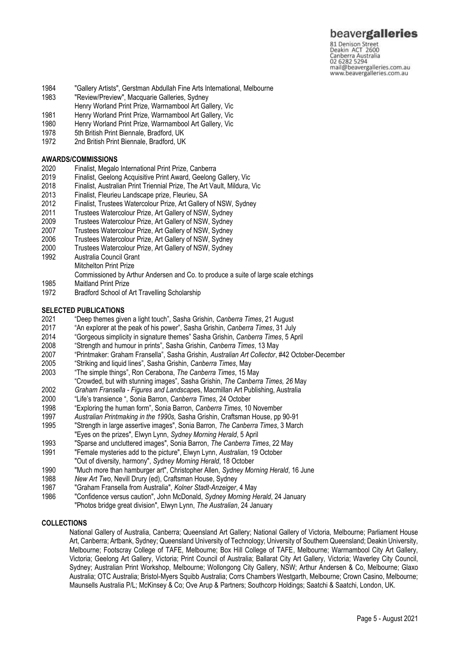## beavergalleries

81 Denison Street<br>Deakin ACT 2600 Canberra Australia mail@beavergalleries.com.au www.beavergalleries.com.au

- 1984 "Gallery Artists", Gerstman Abdullah Fine Arts International, Melbourne
- 1983 "Review/Preview", Macquarie Galleries, Sydney
- Henry Worland Print Prize, Warrnambool Art Gallery, Vic
- 1981 Henry Worland Print Prize, Warrnambool Art Gallery, Vic<br>1980 Henry Worland Print Prize, Warrnambool Art Gallery, Vic
- Henry Worland Print Prize, Warrnambool Art Gallery, Vic
- 1978 5th British Print Biennale, Bradford, UK<br>1972 2nd British Print Biennale, Bradford, UK
- 2nd British Print Biennale, Bradford, UK

# **AWARDS/COMMISSIONS**

- 2020 Finalist, Megalo International Print Prize, Canberra
- 2019 Finalist, Geelong Acquisitive Print Award, Geelong Gallery, Vic
- 2018 Finalist, Australian Print Triennial Prize, The Art Vault, Mildura, Vic
- 2013 Finalist, Fleurieu Landscape prize, Fleurieu, SA
- 2012 Finalist, Trustees Watercolour Prize, Art Gallery of NSW, Sydney
- 2011 Trustees Watercolour Prize, Art Gallery of NSW, Sydney
- 2009 Trustees Watercolour Prize, Art Gallery of NSW, Sydney
- 2007 Trustees Watercolour Prize, Art Gallery of NSW, Sydney
- Trustees Watercolour Prize, Art Gallery of NSW, Sydney
- 2000 Trustees Watercolour Prize, Art Gallery of NSW, Sydney
- 1992 Australia Council Grant Mitchelton Print Prize
	- Commissioned by Arthur Andersen and Co. to produce a suite of large scale etchings
- 1985 Maitland Print Prize
- 1972 Bradford School of Art Travelling Scholarship

### **SELECTED PUBLICATIONS**

- 2021 "Deep themes given a light touch", Sasha Grishin, *Canberra Times*, 21 August
- 2017 "An explorer at the peak of his power", Sasha Grishin, *Canberra Times*, 31 July
- 2014 "Gorgeous simplicity in signature themes" Sasha Grishin, *Canberra Times*, 5 April
- 2008 "Strength and humour in prints", Sasha Grishin, *Canberra Times*, 13 May
- 2007 "Printmaker: Graham Fransella", Sasha Grishin, *Australian Art Collector*, #42 October-December
- 2005 "Striking and liquid lines", Sasha Grishin, *Canberra Times*, May
- 2003 "The simple things", Ron Cerabona, *The Canberra Times*, 15 May
- "Crowded, but with stunning images", Sasha Grishin, *The Canberra Times, 26* May
- 2002 *Graham Fransella - Figures and Landscape*s, Macmillan Art Publishing, Australia
- 2000 "Life's transience ", Sonia Barron, *Canberra Times*, 24 October
- 1998 "Exploring the human form", Sonia Barron, *Canberra Times*, 10 November
- 1997 *Australian Printmaking in the 1990s,* Sasha Grishin, Craftsman House, pp 90-91
- 1995 "Strength in large assertive images", Sonia Barron, *The Canberra Times*, 3 March
- "Eyes on the prizes", Elwyn Lynn, *Sydney Morning Herald*, 5 April
- 1993 "Sparse and uncluttered images", Sonia Barron, *The Canberra Times*, 22 May
- "Female mysteries add to the picture", Elwyn Lynn, Australian, 19 October
- "Out of diversity, harmony", *Sydney Morning Herald*, 18 October
- 1990 "Much more than hamburger art", Christopher Allen, *Sydney Morning Herald*, 16 June
- 1988 *New Art Two*, Nevill Drury (ed), Craftsman House, Sydney
- 1987 "Graham Fransella from Australia", *Kolner Stadt-Anzeiger*, 4 May
- 1986 "Confidence versus caution", John McDonald, *Sydney Morning Herald*, 24 January "Photos bridge great division", Elwyn Lynn, *The Australian*, 24 January

## **COLLECTIONS**

National Gallery of Australia, Canberra; Queensland Art Gallery; National Gallery of Victoria, Melbourne; Parliament House Art, Canberra; Artbank, Sydney; Queensland University of Technology; University of Southern Queensland; Deakin University, Melbourne; Footscray College of TAFE, Melbourne; Box Hill College of TAFE, Melbourne; Warrnambool City Art Gallery, Victoria; Geelong Art Gallery, Victoria; Print Council of Australia; Ballarat City Art Gallery, Victoria; Waverley City Council, Sydney; Australian Print Workshop, Melbourne; Wollongong City Gallery, NSW; Arthur Andersen & Co, Melbourne; Glaxo Australia; OTC Australia; Bristol-Myers Squibb Australia; Corrs Chambers Westgarth, Melbourne; Crown Casino, Melbourne; Maunsells Australia P/L; McKinsey & Co; Ove Arup & Partners; Southcorp Holdings; Saatchi & Saatchi, London, UK.